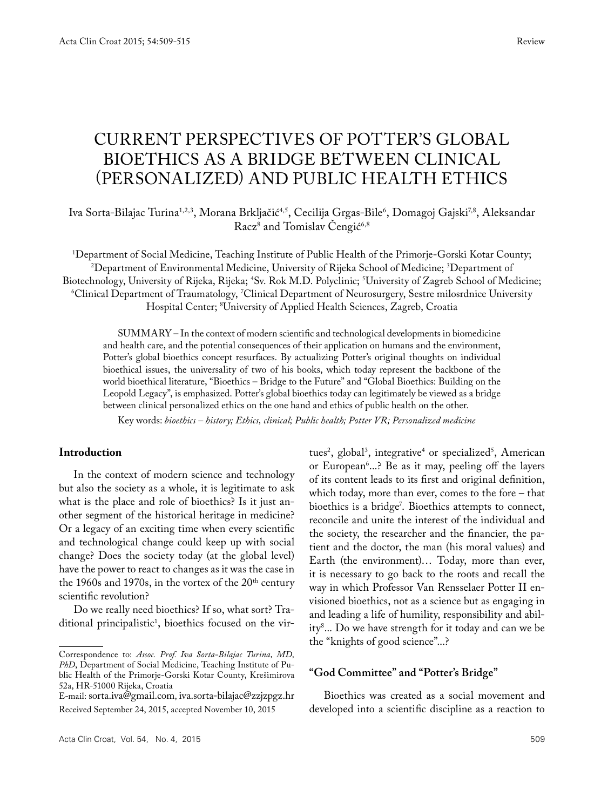# CURRENT PERSPECTIVES OF POTTER'S GLOBAL BIOETHICS AS A BRIDGE BETWEEN CLINICAL (PERSONALIZED) AND PUBLIC HEALTH ETHICS

lva Sorta-Bilajac Turina<sup>1,2,3</sup>, Morana Brkljačić<sup>4,5</sup>, Cecilija Grgas-Bile<sup>6</sup>, Domagoj Gajski<sup>7,8</sup>, Aleksandar Racz<sup>8</sup> and Tomislav Cengić<sup>6,8</sup>

<sup>1</sup>Department of Social Medicine, Teaching Institute of Public Health of the Primorje-Gorski Kotar County; Department of Social Medicine, Teaching Institute of Public Health of the Primorje-Gorski Kotar County; 2 Department of Environmental Medicine, University of Rijeka School of Medicine; 3 Department of Biotechnology, University of Rijeka, Rijeka; <sup>4</sup>Sv. Rok M.D. Polyclinic; <sup>5</sup> otechnology, University of Rijeka, Rijeka; \*Sv. Rok M.D. Polyclinic; <sup>3</sup>University of Zagreb School of Medicine;<br><sup>6</sup>Clinical Department of Traumatology, <sup>7</sup>Clinical Department of Neurosurgery, Sestre milosrdnice University Hospital Center; 8 University of Applied Health Sciences, Zagreb, Croatia

SUMMARY – In the context of modern scientific and technological developments in biomedicine and health care, and the potential consequences of their application on humans and the environment, Potter's global bioethics concept resurfaces. By actualizing Potter's original thoughts on individual bioethical issues, the universality of two of his books, which today represent the backbone of the world bioethical literature, "Bioethics – Bridge to the Future" and "Global Bioethics: Building on the Leopold Legacy", is emphasized. Potter's global bioethics today can legitimately be viewed as a bridge between clinical personalized ethics on the one hand and ethics of public health on the other.

Key words: *bioethics – history; Ethics, clinical; Public health; Potter VR; Personalized medicine*

#### **Introduction**

In the context of modern science and technology but also the society as a whole, it is legitimate to ask what is the place and role of bioethics? Is it just another segment of the historical heritage in medicine? Or a legacy of an exciting time when every scientific and technological change could keep up with social change? Does the society today (at the global level) have the power to react to changes as it was the case in the 1960s and 1970s, in the vortex of the  $20<sup>th</sup>$  century scientific revolution?

Do we really need bioethics? If so, what sort? Traditional principalistic<sup>1</sup>, bioethics focused on the vir-

tues<sup>2</sup>, global<sup>3</sup>, integrative<sup>4</sup> or specialized<sup>5</sup>, American or European<sup>6</sup>....? Be as it may, peeling off the layers of its content leads to its first and original definition, which today, more than ever, comes to the fore – that bioethics is a bridge7 . Bioethics attempts to connect, reconcile and unite the interest of the individual and the society, the researcher and the financier, the patient and the doctor, the man (his moral values) and Earth (the environment)… Today, more than ever, it is necessary to go back to the roots and recall the way in which Professor Van Rensselaer Potter II envisioned bioethics, not as a science but as engaging in and leading a life of humility, responsibility and ability8 ... Do we have strength for it today and can we be the "knights of good science"...?

# **"God Committee" and "Potter's Bridge"**

Bioethics was created as a social movement and developed into a scientific discipline as a reaction to

Correspondence to: *Assoc. Prof. Iva Sorta-Bilajac Turina, MD, PhD*, Department of Social Medicine, Teaching Institute of Public Health of the Primorje-Gorski Kotar County, Krešimirova 52a, HR-51000 Rijeka, Croatia

E-mail: sorta.iva@gmail.com, iva.sorta-bilajac@zzjzpgz.hr Received September 24, 2015, accepted November 10, 2015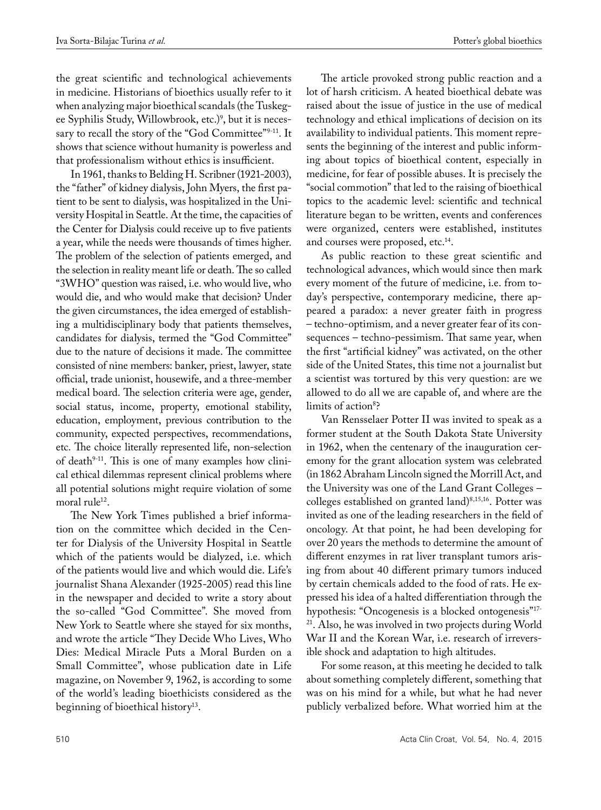the great scientific and technological achievements in medicine. Historians of bioethics usually refer to it when analyzing major bioethical scandals (the Tuskegee Syphilis Study, Willowbrook, etc.)<sup>9</sup>, but it is necessary to recall the story of the "God Committee"9-11. It shows that science without humanity is powerless and that professionalism without ethics is insufficient.

In 1961, thanks to Belding H. Scribner (1921-2003), the "father" of kidney dialysis, John Myers, the first patient to be sent to dialysis, was hospitalized in the University Hospital in Seattle. At the time, the capacities of the Center for Dialysis could receive up to five patients a year, while the needs were thousands of times higher. The problem of the selection of patients emerged, and the selection in reality meant life or death. The so called "3who" question was raised, i.e. who would live, who would die, and who would make that decision? Under the given circumstances, the idea emerged of establishing a multidisciplinary body that patients themselves, candidates for dialysis, termed the "God Committee" due to the nature of decisions it made. The committee consisted of nine members: banker, priest, lawyer, state official, trade unionist, housewife, and a three-member medical board. The selection criteria were age, gender, social status, income, property, emotional stability, education, employment, previous contribution to the community, expected perspectives, recommendations, etc. The choice literally represented life, non-selection of death $9-11$ . This is one of many examples how clinical ethical dilemmas represent clinical problems where all potential solutions might require violation of some moral rule<sup>12</sup>.

The New York Times published a brief information on the committee which decided in the Center for Dialysis of the University Hospital in Seattle which of the patients would be dialyzed, i.e. which of the patients would live and which would die. Life's journalist Shana Alexander (1925-2005) read this line in the newspaper and decided to write a story about the so-called "God Committee". She moved from New York to Seattle where she stayed for six months, and wrote the article "They Decide Who Lives, Who Dies: Medical Miracle Puts a Moral Burden on a Small Committee", whose publication date in Life magazine, on November 9, 1962, is according to some of the world's leading bioethicists considered as the beginning of bioethical history<sup>13</sup>.

The article provoked strong public reaction and a lot of harsh criticism. A heated bioethical debate was raised about the issue of justice in the use of medical technology and ethical implications of decision on its availability to individual patients. This moment represents the beginning of the interest and public informing about topics of bioethical content, especially in medicine, for fear of possible abuses. It is precisely the "social commotion" that led to the raising of bioethical topics to the academic level: scientific and technical literature began to be written, events and conferences were organized, centers were established, institutes and courses were proposed, etc.<sup>14</sup>.

As public reaction to these great scientific and technological advances, which would since then mark every moment of the future of medicine, i.e. from today's perspective, contemporary medicine, there appeared a paradox: a never greater faith in progress – techno-optimism*,* and a never greater fear of its consequences – techno-pessimism. That same year, when the first "artificial kidney" was activated, on the other side of the United States, this time not a journalist but a scientist was tortured by this very question: are we allowed to do all we are capable of, and where are the limits of action<sup>8</sup>?

Van Rensselaer Potter II was invited to speak as a former student at the South Dakota State University in 1962, when the centenary of the inauguration ceremony for the grant allocation system was celebrated (in 1862 Abraham Lincoln signed the Morrill Act, and the University was one of the Land Grant Colleges – colleges established on granted land)<sup>8,15,16</sup>. Potter was invited as one of the leading researchers in the field of oncology. At that point, he had been developing for over 20 years the methods to determine the amount of different enzymes in rat liver transplant tumors arising from about 40 different primary tumors induced by certain chemicals added to the food of rats. He expressed his idea of a halted differentiation through the hypothesis: "Oncogenesis is a blocked ontogenesis"17- 21. Also, he was involved in two projects during World War II and the Korean War, i.e. research of irreversible shock and adaptation to high altitudes.

For some reason, at this meeting he decided to talk about something completely different, something that was on his mind for a while, but what he had never publicly verbalized before. What worried him at the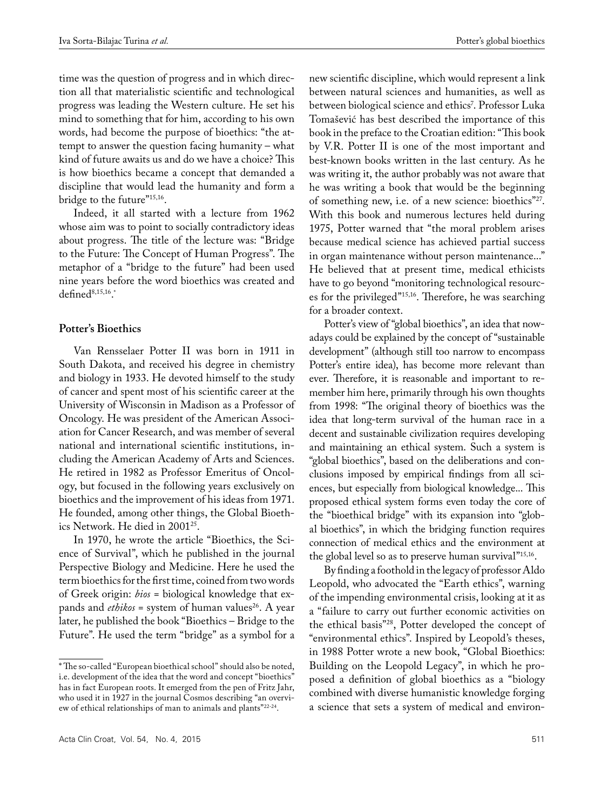time was the question of progress and in which direction all that materialistic scientific and technological progress was leading the Western culture. He set his mind to something that for him, according to his own words, had become the purpose of bioethics: "the attempt to answer the question facing humanity – what kind of future awaits us and do we have a choice? This is how bioethics became a concept that demanded a discipline that would lead the humanity and form a bridge to the future"15,16.

Indeed, it all started with a lecture from 1962 whose aim was to point to socially contradictory ideas about progress. The title of the lecture was: "Bridge to the Future: The Concept of Human Progress". The metaphor of a "bridge to the future" had been used nine years before the word bioethics was created and defined $8,15,16$ .

## **Potter's Bioethics**

Van Rensselaer Potter II was born in 1911 in South Dakota, and received his degree in chemistry and biology in 1933. He devoted himself to the study of cancer and spent most of his scientific career at the University of Wisconsin in Madison as a Professor of Oncology. He was president of the American Association for Cancer Research, and was member of several national and international scientific institutions, including the American Academy of Arts and Sciences. He retired in 1982 as Professor Emeritus of Oncology, but focused in the following years exclusively on bioethics and the improvement of his ideas from 1971. He founded, among other things, the Global Bioethics Network. He died in 200125.

In 1970, he wrote the article "Bioethics, the Science of Survival", which he published in the journal Perspective Biology and Medicine. Here he used the term bioethics for the first time, coined from two words of Greek origin: *bios* = biological knowledge that expands and *ethikos* = system of human values<sup>26</sup>. A year later, he published the book "Bioethics – Bridge to the Future". He used the term "bridge" as a symbol for a new scientific discipline, which would represent a link between natural sciences and humanities, as well as between biological science and ethics7 . Professor Luka Tomašević has best described the importance of this book in the preface to the Croatian edition: "This book by V.R. Potter II is one of the most important and best-known books written in the last century. As he was writing it, the author probably was not aware that he was writing a book that would be the beginning of something new, i.e. of a new science: bioethics"27. With this book and numerous lectures held during 1975, Potter warned that "the moral problem arises because medical science has achieved partial success in organ maintenance without person maintenance..." He believed that at present time, medical ethicists have to go beyond "monitoring technological resources for the privileged"15,16. Therefore, he was searching for a broader context.

Potter's view of "global bioethics", an idea that nowadays could be explained by the concept of "sustainable development" (although still too narrow to encompass Potter's entire idea), has become more relevant than ever. Therefore, it is reasonable and important to remember him here, primarily through his own thoughts from 1998: "The original theory of bioethics was the idea that long-term survival of the human race in a decent and sustainable civilization requires developing and maintaining an ethical system. Such a system is "global bioethics", based on the deliberations and conclusions imposed by empirical findings from all sciences, but especially from biological knowledge... This proposed ethical system forms even today the core of the "bioethical bridge" with its expansion into "global bioethics", in which the bridging function requires connection of medical ethics and the environment at the global level so as to preserve human survival"<sup>15,16</sup>.

By finding a foothold in the legacy of professor Aldo Leopold, who advocated the "Earth ethics", warning of the impending environmental crisis, looking at it as a "failure to carry out further economic activities on the ethical basis"28, Potter developed the concept of "environmental ethics". Inspired by Leopold's theses, in 1988 Potter wrote a new book, "Global Bioethics: Building on the Leopold Legacy", in which he proposed a definition of global bioethics as a "biology combined with diverse humanistic knowledge forging a science that sets a system of medical and environ-

<sup>\*</sup> The so-called "European bioethical school" should also be noted, i.e. development of the idea that the word and concept "bioethics" has in fact European roots. It emerged from the pen of Fritz Jahr, who used it in 1927 in the journal Cosmos describing "an overview of ethical relationships of man to animals and plants"22-24.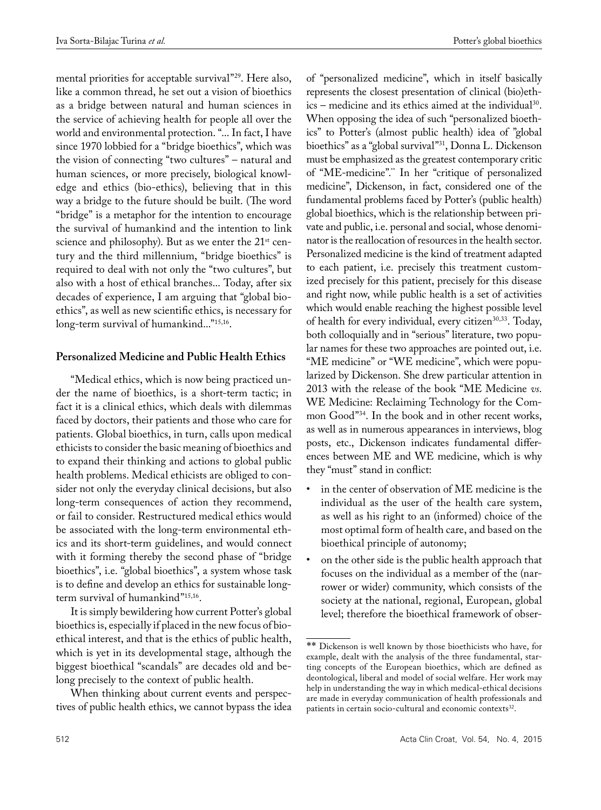mental priorities for acceptable survival"<sup>29</sup>. Here also, like a common thread, he set out a vision of bioethics as a bridge between natural and human sciences in the service of achieving health for people all over the world and environmental protection. "... In fact, I have since 1970 lobbied for a "bridge bioethics", which was the vision of connecting "two cultures" – natural and human sciences, or more precisely, biological knowledge and ethics (bio-ethics), believing that in this way a bridge to the future should be built. (The word "bridge" is a metaphor for the intention to encourage the survival of humankind and the intention to link science and philosophy). But as we enter the 21<sup>st</sup> century and the third millennium, "bridge bioethics" is required to deal with not only the "two cultures", but also with a host of ethical branches... Today, after six decades of experience, I am arguing that "global bioethics", as well as new scientific ethics, is necessary for long-term survival of humankind..."15,16.

# **Personalized Medicine and Public Health Ethics**

"Medical ethics, which is now being practiced under the name of bioethics, is a short-term tactic; in fact it is a clinical ethics, which deals with dilemmas faced by doctors, their patients and those who care for patients. Global bioethics, in turn, calls upon medical ethicists to consider the basic meaning of bioethics and to expand their thinking and actions to global public health problems. Medical ethicists are obliged to consider not only the everyday clinical decisions, but also long-term consequences of action they recommend, or fail to consider. Restructured medical ethics would be associated with the long-term environmental ethics and its short-term guidelines, and would connect with it forming thereby the second phase of "bridge bioethics", i.e. "global bioethics", a system whose task is to define and develop an ethics for sustainable longterm survival of humankind"15,16.

It is simply bewildering how current Potter's global bioethics is, especially if placed in the new focus of bioethical interest, and that is the ethics of public health, which is yet in its developmental stage, although the biggest bioethical "scandals" are decades old and belong precisely to the context of public health.

When thinking about current events and perspectives of public health ethics, we cannot bypass the idea

of "personalized medicine", which in itself basically represents the closest presentation of clinical (bio)ethics – medicine and its ethics aimed at the individual30. When opposing the idea of such "personalized bioethics" to Potter's (almost public health) idea of "global bioethics" as a "global survival"31, Donna L. Dickenson must be emphasized as the greatest contemporary critic of "ME-medicine".\*\* In her "critique of personalized medicine", Dickenson, in fact, considered one of the fundamental problems faced by Potter's (public health) global bioethics, which is the relationship between private and public, i.e. personal and social, whose denominator is the reallocation of resources in the health sector. Personalized medicine is the kind of treatment adapted to each patient, i.e. precisely this treatment customized precisely for this patient, precisely for this disease and right now, while public health is a set of activities which would enable reaching the highest possible level of health for every individual, every citizen<sup>30,33</sup>. Today, both colloquially and in "serious" literature, two popular names for these two approaches are pointed out, i.e. "ME medicine" or "WE medicine", which were popularized by Dickenson. She drew particular attention in 2013 with the release of the book "ME Medicine *vs*. WE Medicine: Reclaiming Technology for the Common Good"34. In the book and in other recent works, as well as in numerous appearances in interviews, blog posts, etc., Dickenson indicates fundamental differences between ME and WE medicine, which is why they "must" stand in conflict:

- in the center of observation of  $ME$  medicine is the individual as the user of the health care system, as well as his right to an (informed) choice of the most optimal form of health care, and based on the bioethical principle of autonomy;
- on the other side is the public health approach that focuses on the individual as a member of the (narrower or wider) community, which consists of the society at the national, regional, European, global level; therefore the bioethical framework of obser-

<sup>\*\*</sup> Dickenson is well known by those bioethicists who have, for example, dealt with the analysis of the three fundamental, starting concepts of the European bioethics, which are defined as deontological, liberal and model of social welfare. Her work may help in understanding the way in which medical-ethical decisions are made in everyday communication of health professionals and patients in certain socio-cultural and economic contexts<sup>32</sup>.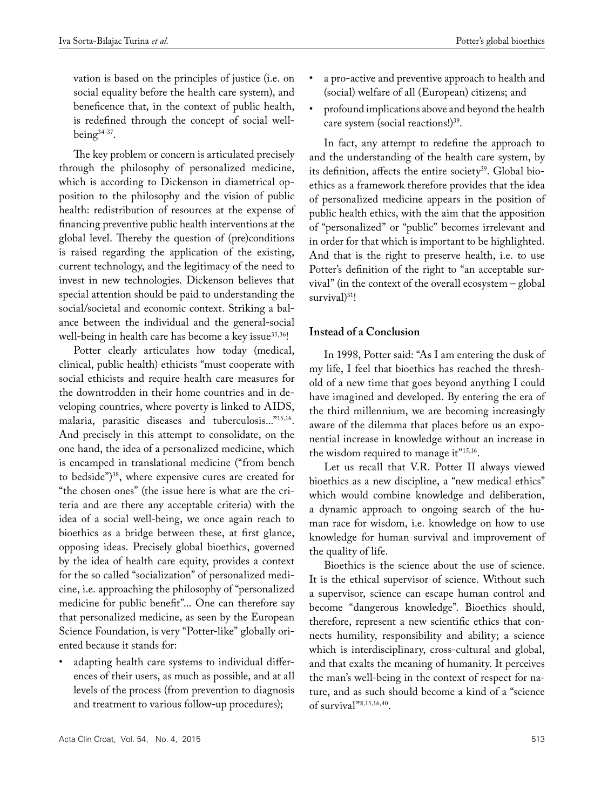vation is based on the principles of justice (i.e. on social equality before the health care system), and beneficence that, in the context of public health, is redefined through the concept of social wellbeing $34-37$ .

The key problem or concern is articulated precisely through the philosophy of personalized medicine, which is according to Dickenson in diametrical opposition to the philosophy and the vision of public health: redistribution of resources at the expense of financing preventive public health interventions at the global level. Thereby the question of (pre)conditions is raised regarding the application of the existing, current technology, and the legitimacy of the need to invest in new technologies. Dickenson believes that special attention should be paid to understanding the social/societal and economic context. Striking a balance between the individual and the general-social well-being in health care has become a key issue<sup>35,36</sup>!

Potter clearly articulates how today (medical, clinical, public health) ethicists "must cooperate with social ethicists and require health care measures for the downtrodden in their home countries and in developing countries, where poverty is linked to AIDS, malaria, parasitic diseases and tuberculosis..."15,16. And precisely in this attempt to consolidate, on the one hand, the idea of a personalized medicine, which is encamped in translational medicine ("from bench to bedside")38, where expensive cures are created for "the chosen ones" (the issue here is what are the criteria and are there any acceptable criteria) with the idea of a social well-being, we once again reach to bioethics as a bridge between these, at first glance, opposing ideas. Precisely global bioethics, governed by the idea of health care equity, provides a context for the so called "socialization" of personalized medicine, i.e. approaching the philosophy of "personalized medicine for public benefit"... One can therefore say that personalized medicine, as seen by the European Science Foundation, is very "Potter-like" globally oriented because it stands for:

adapting health care systems to individual differences of their users, as much as possible, and at all levels of the process (from prevention to diagnosis and treatment to various follow-up procedures);

- a pro-active and preventive approach to health and (social) welfare of all (European) citizens; and
- • profound implications above and beyond the health care system (social reactions!)<sup>39</sup>.

In fact, any attempt to redefine the approach to and the understanding of the health care system, by its definition, affects the entire society<sup>39</sup>. Global bioethics as a framework therefore provides that the idea of personalized medicine appears in the position of public health ethics, with the aim that the apposition of "personalized" or "public" becomes irrelevant and in order for that which is important to be highlighted. And that is the right to preserve health, i.e. to use Potter's definition of the right to "an acceptable survival" (in the context of the overall ecosystem – global survival)<sup>31</sup>!

## **Instead of a Conclusion**

In 1998, Potter said: "As I am entering the dusk of my life, I feel that bioethics has reached the threshold of a new time that goes beyond anything I could have imagined and developed. By entering the era of the third millennium, we are becoming increasingly aware of the dilemma that places before us an exponential increase in knowledge without an increase in the wisdom required to manage it<sup>"15,16</sup>.

Let us recall that V.R. Potter II always viewed bioethics as a new discipline, a "new medical ethics" which would combine knowledge and deliberation, a dynamic approach to ongoing search of the human race for wisdom, i.e. knowledge on how to use knowledge for human survival and improvement of the quality of life.

Bioethics is the science about the use of science. It is the ethical supervisor of science. Without such a supervisor, science can escape human control and become "dangerous knowledge". Bioethics should, therefore, represent a new scientific ethics that connects humility, responsibility and ability; a science which is interdisciplinary, cross-cultural and global, and that exalts the meaning of humanity. It perceives the man's well-being in the context of respect for nature, and as such should become a kind of a "science of survival"8,15,16,40.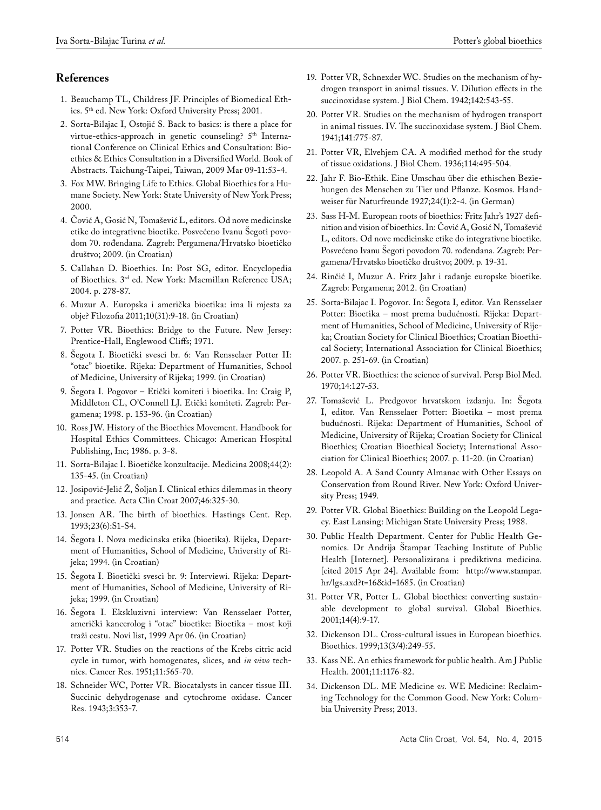# **References**

- 1. Beauchamp TL, Childress JF. Principles of Biomedical Ethics. 5th ed. New York: Oxford University Press; 2001.
- 2. Sorta-Bilajac I, Ostojić S. Back to basics: is there a place for virtue-ethics-approach in genetic counseling? 5<sup>th</sup> International Conference on Clinical Ethics and Consultation: Bioethics & Ethics Consultation in a Diversified World. Book of Abstracts. Taichung-Taipei, Taiwan, 2009 Mar 09-11:53-4.
- 3. Fox MW. Bringing Life to Ethics. Global Bioethics for a Humane Society. New York: State University of New York Press; 2000.
- 4. Čović A, Gosić N, Tomašević L, editors. Od nove medicinske etike do integrativne bioetike. Posvećeno Ivanu Šegoti povodom 70. rođendana. Zagreb: Pergamena/Hrvatsko bioetičko društvo; 2009. (in Croatian)
- 5. Callahan D. Bioethics. In: Post SG, editor. Encyclopedia of Bioethics. 3rd ed. New York: Macmillan Reference USA; 2004. p. 278-87.
- 6. Muzur A. Europska i američka bioetika: ima li mjesta za obje? Filozofia 2011;10(31):9-18. (in Croatian)
- 7. Potter VR. Bioethics: Bridge to the Future. New Jersey: Prentice-Hall, Englewood Cliffs; 1971.
- 8. Šegota I. Bioetički svesci br. 6: Van Rensselaer Potter II: "otac" bioetike. Rijeka: Department of Humanities, School of Medicine, University of Rijeka; 1999. (in Croatian)
- 9. Šegota I. Pogovor Etički komiteti i bioetika. In: Craig P, Middleton CL, O'Connell LJ. Etički komiteti. Zagreb: Pergamena; 1998. p. 153-96. (in Croatian)
- 10. Ross JW. History of the Bioethics Movement. Handbook for Hospital Ethics Committees. Chicago: American Hospital Publishing, Inc; 1986. p. 3-8.
- 11. Sorta-Bilajac I. Bioetičke konzultacije. Medicina 2008;44(2): 135-45. (in Croatian)
- 12. Josipović-Jelić  $\check{Z}$ , Šoljan I. Clinical ethics dilemmas in theory and practice. Acta Clin Croat 2007;46:325-30.
- 13. Jonsen AR. The birth of bioethics. Hastings Cent. Rep. 1993;23(6):S1-S4.
- 14. Šegota I. Nova medicinska etika (bioetika). Rijeka, Department of Humanities, School of Medicine, University of Rijeka; 1994. (in Croatian)
- 15. Šegota I. Bioetički svesci br. 9: Interviewi. Rijeka: Department of Humanities, School of Medicine, University of Rijeka; 1999. (in Croatian)
- 16. Šegota I. Ekskluzivni interview: Van Rensselaer Potter, američki kancerolog i "otac" bioetike: Bioetika – most koji traži cestu. Novi list, 1999 Apr 06. (in Croatian)
- 17. Potter VR. Studies on the reactions of the Krebs citric acid cycle in tumor, with homogenates, slices, and *in vivo* technics. Cancer Res. 1951;11:565-70.
- 18. Schneider WC, Potter VR. Biocatalysts in cancer tissue III. Succinic dehydrogenase and cytochrome oxidase. Cancer Res. 1943;3:353-7.
- 19. Potter VR, Schnexder WC. Studies on the mechanism of hydrogen transport in animal tissues. V. Dilution effects in the succinoxidase system. J Biol Chem. 1942;142:543-55.
- 20. Potter VR. Studies on the mechanism of hydrogen transport in animal tissues. IV. The succinoxidase system. J Biol Chem. 1941;141:775-87.
- 21. Potter VR, Elvehjem CA. A modified method for the study of tissue oxidations. J Biol Chem. 1936;114:495-504.
- 22. Jahr F. Bio-Ethik. Eine Umschau über die ethischen Beziehungen des Menschen zu Tier und Pflanze. Kosmos. Handweiser für Naturfreunde 1927;24(1):2-4. (in German)
- 23. Sass H-M. European roots of bioethics: Fritz Jahr's 1927 definition and vision of bioethics. In: Čović A, Gosić N, Tomašević L, editors. Od nove medicinske etike do integrativne bioetike. Posvećeno Ivanu Šegoti povodom 70. rođendana. Zagreb: Pergamena/Hrvatsko bioetičko društvo; 2009. p. 19-31.
- 24. Rinčić I, Muzur A. Fritz Jahr i rađanje europske bioetike*.*  Zagreb: Pergamena; 2012. (in Croatian)
- 25. Sorta-Bilajac I. Pogovor. In: Šegota I, editor. Van Rensselaer Potter: Bioetika – most prema budućnosti. Rijeka: Department of Humanities, School of Medicine, University of Rijeka; Croatian Society for Clinical Bioethics; Croatian Bioethical Society; International Association for Clinical Bioethics; 2007. p. 251-69. (in Croatian)
- 26. Potter VR. Bioethics: the science of survival. Persp Biol Med. 1970;14:127-53.
- 27. Tomašević L. Predgovor hrvatskom izdanju. In: Šegota I, editor. Van Rensselaer Potter: Bioetika – most prema budućnosti. Rijeka: Department of Humanities, School of Medicine, University of Rijeka; Croatian Society for Clinical Bioethics; Croatian Bioethical Society; International Association for Clinical Bioethics; 2007. p. 11-20. (in Croatian)
- 28. Leopold A. A Sand County Almanac with Other Essays on Conservation from Round River. New York: Oxford University Press; 1949.
- 29. Potter VR. Global Bioethics: Building on the Leopold Legacy. East Lansing: Michigan State University Press; 1988.
- 30. Public Health Department. Center for Public Health Genomics. Dr Andrija Štampar Teaching Institute of Public Health [Internet]. Personalizirana i prediktivna medicina. [cited 2015 Apr 24]. Available from: http://www.stampar. hr/lgs.axd?t=16&id=1685. (in Croatian)
- 31. Potter VR, Potter L. Global bioethics: converting sustainable development to global survival. Global Bioethics. 2001;14(4):9-17.
- 32. Dickenson DL. Cross-cultural issues in European bioethics. Bioethics. 1999;13(3/4):249-55.
- 33. Kass NE. An ethics framework for public health. Am J Public Health. 2001;11:1176-82.
- 34. Dickenson DL. ME Medicine *vs*. WE Medicine: Reclaiming Technology for the Common Good. New York: Columbia University Press; 2013.